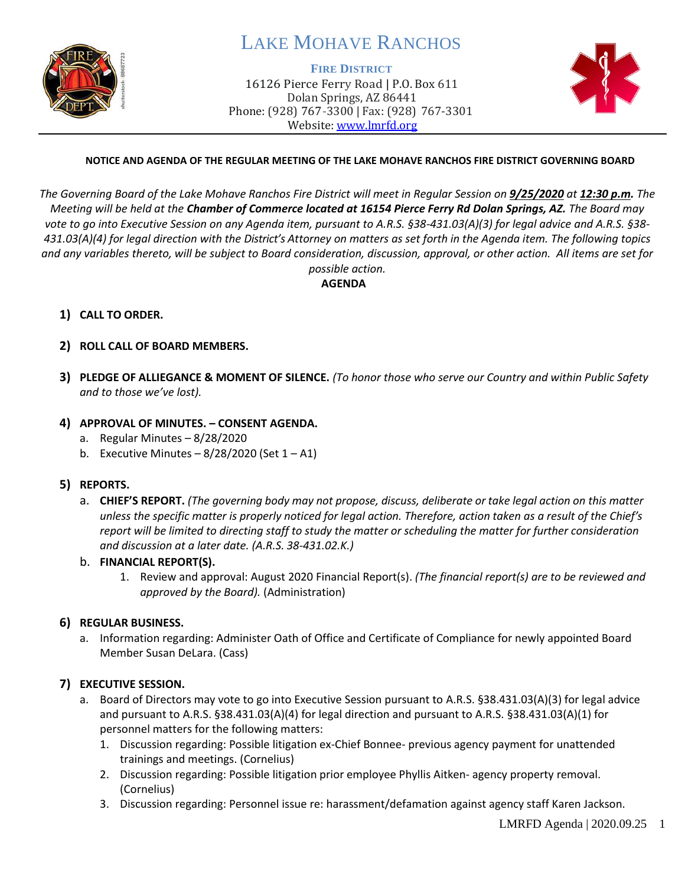

# LAKE MOHAVE RANCHOS

#### **FIRE DISTRICT**

16126 Pierce Ferry Road | P.O. Box 611 Dolan Springs, AZ 86441 Phone: (928) 767-3300 | Fax: (928) 767-3301 Website: [www.lmrfd.org](http://www.lmrfd.org/)



#### **NOTICE AND AGENDA OF THE REGULAR MEETING OF THE LAKE MOHAVE RANCHOS FIRE DISTRICT GOVERNING BOARD**

*The Governing Board of the Lake Mohave Ranchos Fire District will meet in Regular Session on 9/25/2020 at 12:30 p.m. The Meeting will be held at the Chamber of Commerce located at 16154 Pierce Ferry Rd Dolan Springs, AZ. The Board may vote to go into Executive Session on any Agenda item, pursuant to A.R.S. §38-431.03(A)(3) for legal advice and A.R.S. §38- 431.03(A)(4) for legal direction with the District's Attorney on matters as set forth in the Agenda item. The following topics and any variables thereto, will be subject to Board consideration, discussion, approval, or other action. All items are set for possible action.*

**AGENDA**

- **1) CALL TO ORDER.**
- **2) ROLL CALL OF BOARD MEMBERS.**
- **3) PLEDGE OF ALLIEGANCE & MOMENT OF SILENCE.** *(To honor those who serve our Country and within Public Safety and to those we've lost).*

#### **4) APPROVAL OF MINUTES. – CONSENT AGENDA.**

- a. Regular Minutes 8/28/2020
- b. Executive Minutes  $-8/28/2020$  (Set  $1 A1$ )
- **5) REPORTS.** 
	- a. **CHIEF'S REPORT.** *(The governing body may not propose, discuss, deliberate or take legal action on this matter unless the specific matter is properly noticed for legal action. Therefore, action taken as a result of the Chief's report will be limited to directing staff to study the matter or scheduling the matter for further consideration and discussion at a later date. (A.R.S. 38-431.02.K.)*
	- b. **FINANCIAL REPORT(S).**
		- 1. Review and approval: August 2020 Financial Report(s). *(The financial report(s) are to be reviewed and approved by the Board).* (Administration)

## **6) REGULAR BUSINESS.**

a. Information regarding: Administer Oath of Office and Certificate of Compliance for newly appointed Board Member Susan DeLara. (Cass)

#### **7) EXECUTIVE SESSION.**

- a. Board of Directors may vote to go into Executive Session pursuant to A.R.S. §38.431.03(A)(3) for legal advice and pursuant to A.R.S. §38.431.03(A)(4) for legal direction and pursuant to A.R.S. §38.431.03(A)(1) for personnel matters for the following matters:
	- 1. Discussion regarding: Possible litigation ex-Chief Bonnee- previous agency payment for unattended trainings and meetings. (Cornelius)
	- 2. Discussion regarding: Possible litigation prior employee Phyllis Aitken- agency property removal. (Cornelius)
	- 3. Discussion regarding: Personnel issue re: harassment/defamation against agency staff Karen Jackson.